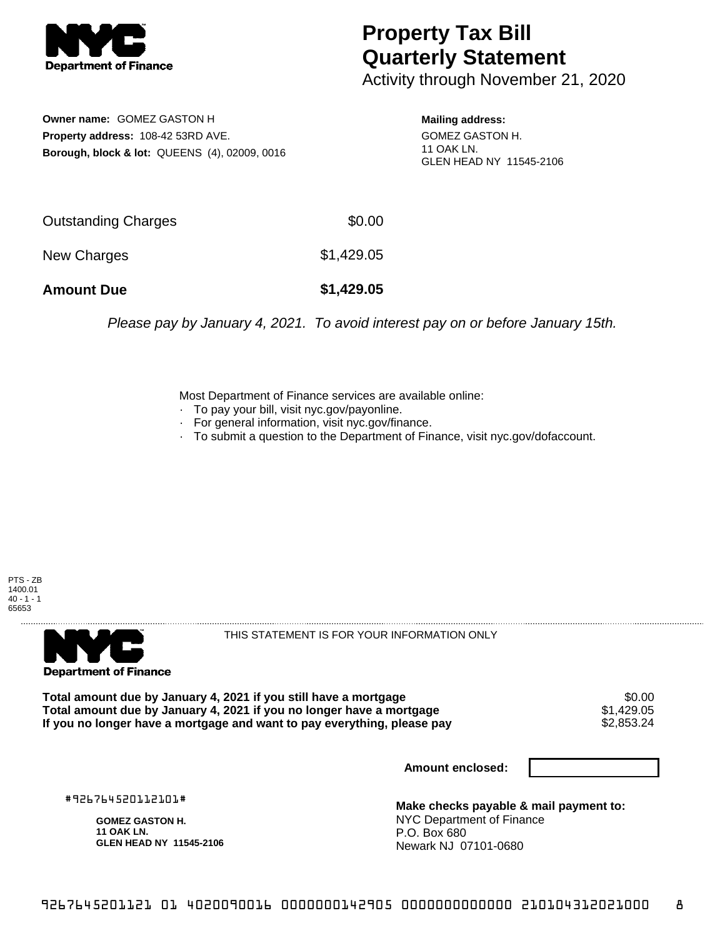

## **Property Tax Bill Quarterly Statement**

Activity through November 21, 2020

**Owner name:** GOMEZ GASTON H **Property address:** 108-42 53RD AVE. **Borough, block & lot:** QUEENS (4), 02009, 0016

**Mailing address:** GOMEZ GASTON H. 11 OAK LN. GLEN HEAD NY 11545-2106

| <b>Amount Due</b>   | \$1,429.05 |
|---------------------|------------|
| New Charges         | \$1,429.05 |
| Outstanding Charges | \$0.00     |

Please pay by January 4, 2021. To avoid interest pay on or before January 15th.

Most Department of Finance services are available online:

- · To pay your bill, visit nyc.gov/payonline.
- For general information, visit nyc.gov/finance.
- · To submit a question to the Department of Finance, visit nyc.gov/dofaccount.





THIS STATEMENT IS FOR YOUR INFORMATION ONLY

Total amount due by January 4, 2021 if you still have a mortgage \$0.00<br>Total amount due by January 4, 2021 if you no longer have a mortgage \$1.429.05 **Total amount due by January 4, 2021 if you no longer have a mortgage**  $$1,429.05$ **<br>If you no longer have a mortgage and want to pay everything, please pay**  $$2,853.24$ If you no longer have a mortgage and want to pay everything, please pay

**Amount enclosed:**

#926764520112101#

**GOMEZ GASTON H. 11 OAK LN. GLEN HEAD NY 11545-2106**

**Make checks payable & mail payment to:** NYC Department of Finance P.O. Box 680 Newark NJ 07101-0680